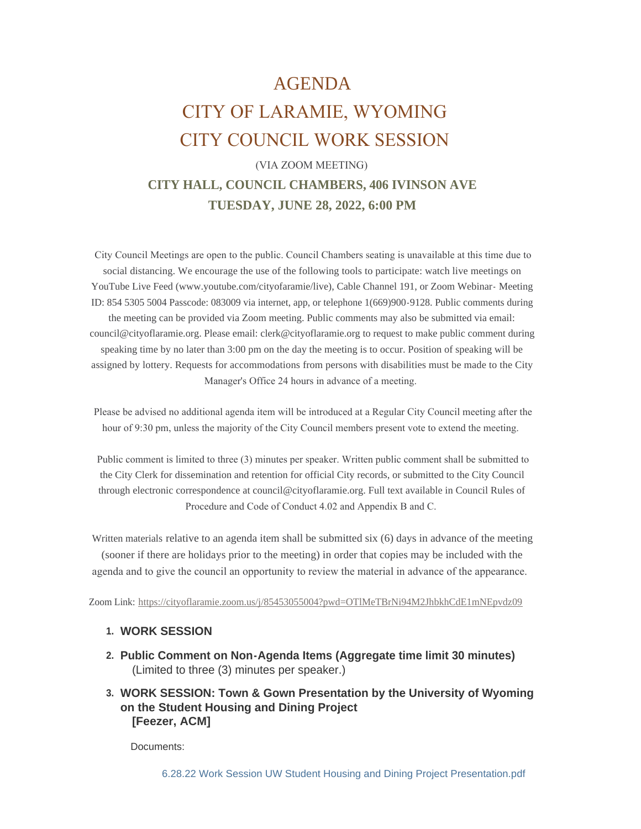# AGENDA CITY OF LARAMIE, WYOMING CITY COUNCIL WORK SESSION

# (VIA ZOOM MEETING) **CITY HALL, COUNCIL CHAMBERS, 406 IVINSON AVE TUESDAY, JUNE 28, 2022, 6:00 PM**

 City Council Meetings are open to the public. Council Chambers seating is unavailable at this time due to social distancing. We encourage the use of the following tools to participate: watch live meetings on YouTube Live Feed (www.youtube.com/cityofaramie/live), Cable Channel 191, or Zoom Webinar- Meeting ID: 854 5305 5004 Passcode: 083009 via internet, app, or telephone 1(669)900-9128. Public comments during the meeting can be provided via Zoom meeting. Public comments may also be submitted via email: council@cityoflaramie.org. Please email: clerk@cityoflaramie.org to request to make public comment during speaking time by no later than 3:00 pm on the day the meeting is to occur. Position of speaking will be assigned by lottery. Requests for accommodations from persons with disabilities must be made to the City Manager's Office 24 hours in advance of a meeting.

 Please be advised no additional agenda item will be introduced at a Regular City Council meeting after the hour of 9:30 pm, unless the majority of the City Council members present vote to extend the meeting.

 Public comment is limited to three (3) minutes per speaker. Written public comment shall be submitted to the City Clerk for dissemination and retention for official City records, or submitted to the City Council through electronic correspondence at council@cityoflaramie.org. Full text available in Council Rules of Procedure and Code of Conduct 4.02 and Appendix B and C.

Written materials relative to an agenda item shall be submitted six (6) days in advance of the meeting (sooner if there are holidays prior to the meeting) in order that copies may be included with the agenda and to give the council an opportunity to review the material in advance of the appearance.

Zoom Link: <https://cityoflaramie.zoom.us/j/85453055004?pwd=OTlMeTBrNi94M2JhbkhCdE1mNEpvdz09>

# **WORK SESSION 1.**

- **Public Comment on Non-Agenda Items (Aggregate time limit 30 minutes) 2.** (Limited to three (3) minutes per speaker.)
- **WORK SESSION: Town & Gown Presentation by the University of Wyoming 3. on the Student Housing and Dining Project [Feezer, ACM]**

Documents: